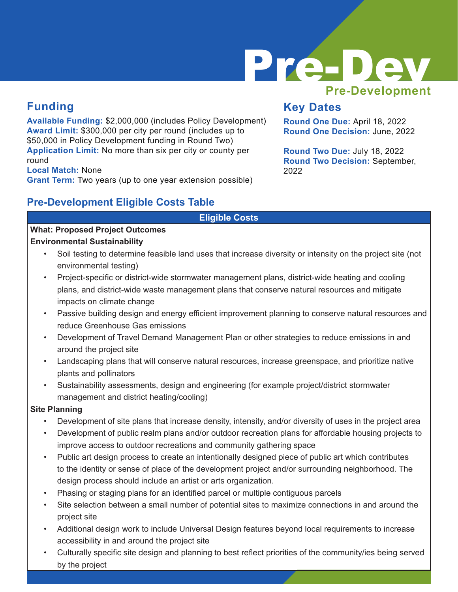

## **Funding**

**Available Funding:** \$2,000,000 (includes Policy Development) **Award Limit:** \$300,000 per city per round (includes up to \$50,000 in Policy Development funding in Round Two) **Application Limit:** No more than six per city or county per round

**Local Match:** None

**Grant Term:** Two years (up to one year extension possible)

### **Pre-Development Eligible Costs Table**

## **Key Dates**

**Round One Due:** April 18, 2022 **Round One Decision:** June, 2022

**Round Two Due:** July 18, 2022 **Round Two Decision:** September, 2022

#### **Eligible Costs**

#### **What: Proposed Project Outcomes Environmental Sustainability**

- Soil testing to determine feasible land uses that increase diversity or intensity on the project site (not environmental testing)
- Project-specific or district-wide stormwater management plans, district-wide heating and cooling plans, and district-wide waste management plans that conserve natural resources and mitigate impacts on climate change
- Passive building design and energy efficient improvement planning to conserve natural resources and reduce Greenhouse Gas emissions
- Development of Travel Demand Management Plan or other strategies to reduce emissions in and around the project site
- Landscaping plans that will conserve natural resources, increase greenspace, and prioritize native plants and pollinators
- Sustainability assessments, design and engineering (for example project/district stormwater management and district heating/cooling)

#### **Site Planning**

- Development of site plans that increase density, intensity, and/or diversity of uses in the project area
- Development of public realm plans and/or outdoor recreation plans for affordable housing projects to improve access to outdoor recreations and community gathering space
- Public art design process to create an intentionally designed piece of public art which contributes to the identity or sense of place of the development project and/or surrounding neighborhood. The design process should include an artist or arts organization.
- Phasing or staging plans for an identified parcel or multiple contiguous parcels
- Site selection between a small number of potential sites to maximize connections in and around the project site
- Additional design work to include Universal Design features beyond local requirements to increase accessibility in and around the project site
- Culturally specific site design and planning to best reflect priorities of the community/ies being served by the project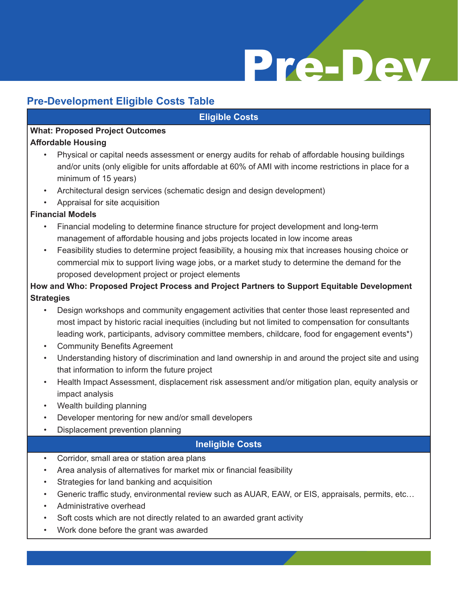# Pre-Dev

## **Pre-Development Eligible Costs Table**

#### **Eligible Costs**

## **What: Proposed Project Outcomes**

#### **Affordable Housing**

- Physical or capital needs assessment or energy audits for rehab of affordable housing buildings and/or units (only eligible for units affordable at 60% of AMI with income restrictions in place for a minimum of 15 years)
- Architectural design services (schematic design and design development)
- Appraisal for site acquisition

#### **Financial Models**

- Financial modeling to determine finance structure for project development and long-term management of affordable housing and jobs projects located in low income areas
- Feasibility studies to determine project feasibility, a housing mix that increases housing choice or commercial mix to support living wage jobs, or a market study to determine the demand for the proposed development project or project elements

#### **How and Who: Proposed Project Process and Project Partners to Support Equitable Development Strategies**

- Design workshops and community engagement activities that center those least represented and most impact by historic racial inequities (including but not limited to compensation for consultants leading work, participants, advisory committee members, childcare, food for engagement events\*)
- Community Benefits Agreement
- Understanding history of discrimination and land ownership in and around the project site and using that information to inform the future project
- Health Impact Assessment, displacement risk assessment and/or mitigation plan, equity analysis or impact analysis
- Wealth building planning
- Developer mentoring for new and/or small developers
- Displacement prevention planning

#### \* *Food costs should be within Council limits and be purchased from DBE or DBE qualifying vendors* **Ineligible Costs**

- Corridor, small area or station area plans
- Area analysis of alternatives for market mix or financial feasibility
- Strategies for land banking and acquisition
- Generic traffic study, environmental review such as AUAR, EAW, or EIS, appraisals, permits, etc…
- Administrative overhead
- Soft costs which are not directly related to an awarded grant activity
- Work done before the grant was awarded